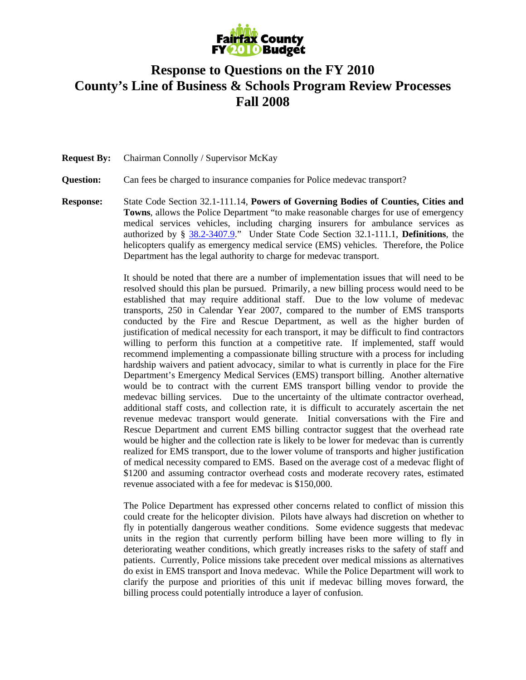

## **Response to Questions on the FY 2010 County's Line of Business & Schools Program Review Processes Fall 2008**

| <b>Request By:</b> | Chairman Connolly / Supervisor McKay |  |  |  |  |
|--------------------|--------------------------------------|--|--|--|--|
|--------------------|--------------------------------------|--|--|--|--|

**Question:** Can fees be charged to insurance companies for Police medevac transport?

**Response:** State Code Section 32.1-111.14, **Powers of Governing Bodies of Counties, Cities and Towns**, allows the Police Department "to make reasonable charges for use of emergency medical services vehicles, including charging insurers for ambulance services as authorized by § 38.2-3407.9." Under State Code Section 32.1-111.1, **Definitions**, the helicopters qualify as emergency medical service (EMS) vehicles. Therefore, the Police Department has the legal authority to charge for medevac transport.

> It should be noted that there are a number of implementation issues that will need to be resolved should this plan be pursued. Primarily, a new billing process would need to be established that may require additional staff. Due to the low volume of medevac transports, 250 in Calendar Year 2007, compared to the number of EMS transports conducted by the Fire and Rescue Department, as well as the higher burden of justification of medical necessity for each transport, it may be difficult to find contractors willing to perform this function at a competitive rate. If implemented, staff would recommend implementing a compassionate billing structure with a process for including hardship waivers and patient advocacy, similar to what is currently in place for the Fire Department's Emergency Medical Services (EMS) transport billing. Another alternative would be to contract with the current EMS transport billing vendor to provide the medevac billing services. Due to the uncertainty of the ultimate contractor overhead, additional staff costs, and collection rate, it is difficult to accurately ascertain the net revenue medevac transport would generate. Initial conversations with the Fire and Rescue Department and current EMS billing contractor suggest that the overhead rate would be higher and the collection rate is likely to be lower for medevac than is currently realized for EMS transport, due to the lower volume of transports and higher justification of medical necessity compared to EMS. Based on the average cost of a medevac flight of \$1200 and assuming contractor overhead costs and moderate recovery rates, estimated revenue associated with a fee for medevac is \$150,000.

> The Police Department has expressed other concerns related to conflict of mission this could create for the helicopter division. Pilots have always had discretion on whether to fly in potentially dangerous weather conditions. Some evidence suggests that medevac units in the region that currently perform billing have been more willing to fly in deteriorating weather conditions, which greatly increases risks to the safety of staff and patients. Currently, Police missions take precedent over medical missions as alternatives do exist in EMS transport and Inova medevac. While the Police Department will work to clarify the purpose and priorities of this unit if medevac billing moves forward, the billing process could potentially introduce a layer of confusion.